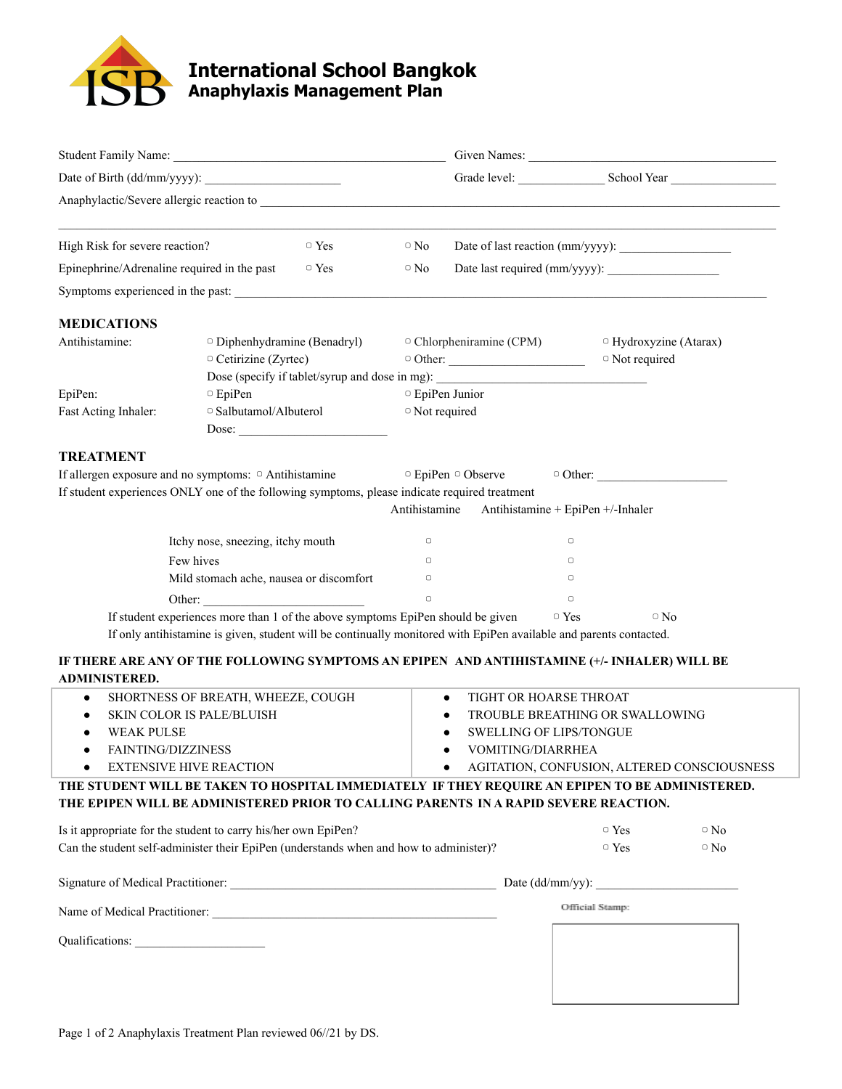

## **International School Bangkok Anaphylaxis Management Plan**

|                                                                                                                                                                                                                               |                                                           |               |                  |                                                                                                                                       |                                                                                                                    | Grade level: School Year School Year        |
|-------------------------------------------------------------------------------------------------------------------------------------------------------------------------------------------------------------------------------|-----------------------------------------------------------|---------------|------------------|---------------------------------------------------------------------------------------------------------------------------------------|--------------------------------------------------------------------------------------------------------------------|---------------------------------------------|
| Anaphylactic/Severe allergic reaction to subsequently and the second service of the second service of the service of the service of the service of the service of the service of the service of the service of the service of |                                                           |               |                  |                                                                                                                                       |                                                                                                                    |                                             |
| High Risk for severe reaction?                                                                                                                                                                                                |                                                           | $\supset$ Yes | $\circ$ No       |                                                                                                                                       | Date of last reaction (mm/yyyy):                                                                                   |                                             |
| Epinephrine/Adrenaline required in the past                                                                                                                                                                                   |                                                           | $\Box$ Yes    | $\circ$ No       |                                                                                                                                       |                                                                                                                    |                                             |
| Symptoms experienced in the past:                                                                                                                                                                                             |                                                           |               |                  |                                                                                                                                       |                                                                                                                    |                                             |
| <b>MEDICATIONS</b>                                                                                                                                                                                                            |                                                           |               |                  |                                                                                                                                       |                                                                                                                    |                                             |
| Antihistamine:                                                                                                                                                                                                                | Diphenhydramine (Benadryl)<br>$\circ$ Cetirizine (Zyrtec) |               |                  | $\circ$ Chlorpheniramine (CPM)<br>$\circ$ Other:<br>Dose (specify if tablet/syrup and dose in mg): __________________________________ | □ Not required                                                                                                     | $\Box$ Hydroxyzine (Atarax)                 |
| EpiPen:                                                                                                                                                                                                                       | $\, \circ$ EpiPen                                         |               |                  | □ EpiPen Junior                                                                                                                       |                                                                                                                    |                                             |
| Fast Acting Inhaler:                                                                                                                                                                                                          | □ Salbutamol/Albuterol                                    | Dose:         | □ Not required   |                                                                                                                                       |                                                                                                                    |                                             |
| <b>TREATMENT</b>                                                                                                                                                                                                              |                                                           |               |                  |                                                                                                                                       |                                                                                                                    |                                             |
| If allergen exposure and no symptoms: $\circ$ Antihistamine                                                                                                                                                                   |                                                           |               |                  | $\Box$ EpiPen $\Box$ Observe                                                                                                          |                                                                                                                    |                                             |
| If student experiences ONLY one of the following symptoms, please indicate required treatment                                                                                                                                 |                                                           |               | Antihistamine    |                                                                                                                                       | Antihistamine + EpiPen +/-Inhaler                                                                                  |                                             |
|                                                                                                                                                                                                                               |                                                           |               |                  |                                                                                                                                       |                                                                                                                    |                                             |
|                                                                                                                                                                                                                               | Itchy nose, sneezing, itchy mouth                         |               | $\hfill \square$ |                                                                                                                                       | $\hfill\square$                                                                                                    |                                             |
| Few hives                                                                                                                                                                                                                     |                                                           |               | $\Box$           |                                                                                                                                       | $\Box$                                                                                                             |                                             |
|                                                                                                                                                                                                                               | Mild stomach ache, nausea or discomfort                   |               | $\hfill \Box$    |                                                                                                                                       | $\Box$                                                                                                             |                                             |
|                                                                                                                                                                                                                               | Other:                                                    |               | $\Box$           |                                                                                                                                       | $\Box$                                                                                                             |                                             |
|                                                                                                                                                                                                                               |                                                           |               |                  | If student experiences more than 1 of the above symptoms EpiPen should be given                                                       | $\circ$ Yes                                                                                                        | $\circ$ No                                  |
|                                                                                                                                                                                                                               |                                                           |               |                  |                                                                                                                                       | If only antihistamine is given, student will be continually monitored with EpiPen available and parents contacted. |                                             |
| IF THERE ARE ANY OF THE FOLLOWING SYMPTOMS AN EPIPEN AND ANTIHISTAMINE (+/- INHALER) WILL BE<br><b>ADMINISTERED.</b>                                                                                                          |                                                           |               |                  |                                                                                                                                       |                                                                                                                    |                                             |
| $\bullet$                                                                                                                                                                                                                     | SHORTNESS OF BREATH, WHEEZE, COUGH                        |               |                  | TIGHT OR HOARSE THROAT<br>$\bullet$                                                                                                   |                                                                                                                    |                                             |
| SKIN COLOR IS PALE/BLUISH                                                                                                                                                                                                     |                                                           |               |                  |                                                                                                                                       | TROUBLE BREATHING OR SWALLOWING                                                                                    |                                             |
| <b>WEAK PULSE</b>                                                                                                                                                                                                             |                                                           |               |                  |                                                                                                                                       | <b>SWELLING OF LIPS/TONGUE</b>                                                                                     |                                             |
| <b>FAINTING/DIZZINESS</b>                                                                                                                                                                                                     |                                                           |               |                  | VOMITING/DIARRHEA                                                                                                                     |                                                                                                                    |                                             |
| <b>EXTENSIVE HIVE REACTION</b>                                                                                                                                                                                                |                                                           |               |                  | ٠                                                                                                                                     |                                                                                                                    | AGITATION, CONFUSION, ALTERED CONSCIOUSNESS |
| THE STUDENT WILL BE TAKEN TO HOSPITAL IMMEDIATELY IF THEY REQUIRE AN EPIPEN TO BE ADMINISTERED.<br>THE EPIPEN WILL BE ADMINISTERED PRIOR TO CALLING PARENTS IN A RAPID SEVERE REACTION.                                       |                                                           |               |                  |                                                                                                                                       |                                                                                                                    |                                             |
|                                                                                                                                                                                                                               |                                                           |               |                  |                                                                                                                                       |                                                                                                                    |                                             |
| Is it appropriate for the student to carry his/her own EpiPen?                                                                                                                                                                |                                                           |               |                  |                                                                                                                                       | $\Box$ Yes                                                                                                         | $\circ$ No                                  |
| Can the student self-administer their EpiPen (understands when and how to administer)?                                                                                                                                        |                                                           |               |                  |                                                                                                                                       | $\Box$ Yes                                                                                                         | $\circ$ No                                  |
|                                                                                                                                                                                                                               |                                                           |               |                  |                                                                                                                                       |                                                                                                                    |                                             |
|                                                                                                                                                                                                                               |                                                           |               |                  |                                                                                                                                       | Official Stamp:                                                                                                    |                                             |
|                                                                                                                                                                                                                               |                                                           |               |                  |                                                                                                                                       |                                                                                                                    |                                             |
|                                                                                                                                                                                                                               |                                                           |               |                  |                                                                                                                                       |                                                                                                                    |                                             |
|                                                                                                                                                                                                                               |                                                           |               |                  |                                                                                                                                       |                                                                                                                    |                                             |
|                                                                                                                                                                                                                               |                                                           |               |                  |                                                                                                                                       |                                                                                                                    |                                             |